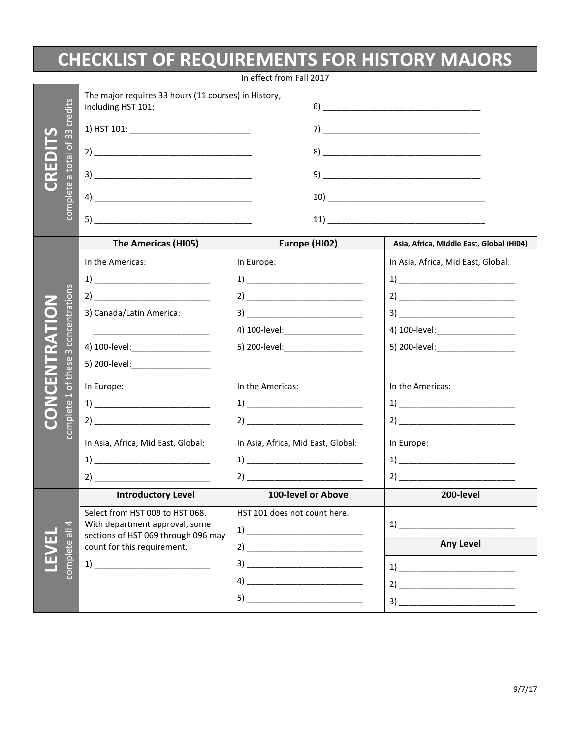## **CHECKLIST OF REQUIREMENTS FOR HISTORY MAJORS**

| In effect from Fall 2017 |                                      |                                                                                                                       |                                                                                                                                                                                                                                                                                                                                                                                                                                                     |                                                                                                                                                                                                                                                                                                                                                                                                                                                     |  |
|--------------------------|--------------------------------------|-----------------------------------------------------------------------------------------------------------------------|-----------------------------------------------------------------------------------------------------------------------------------------------------------------------------------------------------------------------------------------------------------------------------------------------------------------------------------------------------------------------------------------------------------------------------------------------------|-----------------------------------------------------------------------------------------------------------------------------------------------------------------------------------------------------------------------------------------------------------------------------------------------------------------------------------------------------------------------------------------------------------------------------------------------------|--|
|                          | credits<br>of 33<br>complete a total | The major requires 33 hours (11 courses) in History,<br>including HST 101:                                            |                                                                                                                                                                                                                                                                                                                                                                                                                                                     |                                                                                                                                                                                                                                                                                                                                                                                                                                                     |  |
|                          |                                      |                                                                                                                       |                                                                                                                                                                                                                                                                                                                                                                                                                                                     |                                                                                                                                                                                                                                                                                                                                                                                                                                                     |  |
|                          |                                      |                                                                                                                       |                                                                                                                                                                                                                                                                                                                                                                                                                                                     |                                                                                                                                                                                                                                                                                                                                                                                                                                                     |  |
|                          |                                      |                                                                                                                       |                                                                                                                                                                                                                                                                                                                                                                                                                                                     |                                                                                                                                                                                                                                                                                                                                                                                                                                                     |  |
|                          |                                      |                                                                                                                       |                                                                                                                                                                                                                                                                                                                                                                                                                                                     |                                                                                                                                                                                                                                                                                                                                                                                                                                                     |  |
|                          |                                      |                                                                                                                       |                                                                                                                                                                                                                                                                                                                                                                                                                                                     |                                                                                                                                                                                                                                                                                                                                                                                                                                                     |  |
|                          |                                      | The Americas (HI05)                                                                                                   | Europe (HI02)                                                                                                                                                                                                                                                                                                                                                                                                                                       | Asia, Africa, Middle East, Global (HI04)                                                                                                                                                                                                                                                                                                                                                                                                            |  |
|                          |                                      | In the Americas:                                                                                                      | In Europe:                                                                                                                                                                                                                                                                                                                                                                                                                                          | In Asia, Africa, Mid East, Global:                                                                                                                                                                                                                                                                                                                                                                                                                  |  |
|                          |                                      | $\left( \begin{array}{ccc} 1 \end{array} \right)$                                                                     | $\begin{tabular}{c} 1) \end{tabular}$                                                                                                                                                                                                                                                                                                                                                                                                               |                                                                                                                                                                                                                                                                                                                                                                                                                                                     |  |
|                          |                                      |                                                                                                                       | $2) \begin{tabular}{@{}c@{}} \hline \multicolumn{3}{c }{\textbf{21}} & \multicolumn{3}{c }{\textbf{22}} & \multicolumn{3}{c }{\textbf{24}} & \multicolumn{3}{c }{\textbf{25}} & \multicolumn{3}{c }{\textbf{26}} & \multicolumn{3}{c }{\textbf{27}} & \multicolumn{3}{c }{\textbf{28}} & \multicolumn{3}{c }{\textbf{29}} & \multicolumn{3}{c }{\textbf{20}} & \multicolumn{3}{c }{\textbf{21}} & \multicolumn{3}{c }{\textbf{21}} & \multicolumn{$ | $2) \begin{tabular}{@{}c@{}} \hline \multicolumn{3}{c }{\textbf{21}} & \multicolumn{3}{c }{\textbf{22}} & \multicolumn{3}{c }{\textbf{24}} & \multicolumn{3}{c }{\textbf{25}} & \multicolumn{3}{c }{\textbf{26}} & \multicolumn{3}{c }{\textbf{27}} & \multicolumn{3}{c }{\textbf{28}} & \multicolumn{3}{c }{\textbf{29}} & \multicolumn{3}{c }{\textbf{20}} & \multicolumn{3}{c }{\textbf{21}} & \multicolumn{3}{c }{\textbf{21}} & \multicolumn{$ |  |
| $\bullet$                |                                      | 3) Canada/Latin America:                                                                                              | $\begin{picture}(20,10) \put(0,0){\vector(1,0){100}} \put(15,0){\vector(1,0){100}} \put(15,0){\vector(1,0){100}} \put(15,0){\vector(1,0){100}} \put(15,0){\vector(1,0){100}} \put(15,0){\vector(1,0){100}} \put(15,0){\vector(1,0){100}} \put(15,0){\vector(1,0){100}} \put(15,0){\vector(1,0){100}} \put(15,0){\vector(1,0){100}} \put(15,0){\vector(1,0){100}} \$                                                                                 |                                                                                                                                                                                                                                                                                                                                                                                                                                                     |  |
|                          | concentrations                       | <u> 1989 - Johann Barbara, martxa alemaniar personal eta propinsional eta propinsional eta propinsional eta propi</u> |                                                                                                                                                                                                                                                                                                                                                                                                                                                     | 4) 100-level:___________________                                                                                                                                                                                                                                                                                                                                                                                                                    |  |
|                          | $\infty$                             | 4) 100-level:___________________                                                                                      |                                                                                                                                                                                                                                                                                                                                                                                                                                                     | 5) 200-level: ______________________                                                                                                                                                                                                                                                                                                                                                                                                                |  |
| ENTRATI                  | these<br>Ġ                           | 5) 200-level: ____________________                                                                                    |                                                                                                                                                                                                                                                                                                                                                                                                                                                     |                                                                                                                                                                                                                                                                                                                                                                                                                                                     |  |
| $\overline{\mathbf{C}}$  |                                      | In Europe:                                                                                                            | In the Americas:                                                                                                                                                                                                                                                                                                                                                                                                                                    | In the Americas:                                                                                                                                                                                                                                                                                                                                                                                                                                    |  |
| <b>NO</b>                | $\overline{\phantom{0}}$             | $\begin{tabular}{c} {\bf 1)} \end{tabular}$                                                                           | $\begin{tabular}{c} 1) \end{tabular}$                                                                                                                                                                                                                                                                                                                                                                                                               | $\begin{tabular}{c} 1) \end{tabular}$                                                                                                                                                                                                                                                                                                                                                                                                               |  |
|                          | complete                             | $2) \underline{\hspace{2cm}}$                                                                                         |                                                                                                                                                                                                                                                                                                                                                                                                                                                     |                                                                                                                                                                                                                                                                                                                                                                                                                                                     |  |
|                          |                                      | In Asia, Africa, Mid East, Global:                                                                                    | In Asia, Africa, Mid East, Global:                                                                                                                                                                                                                                                                                                                                                                                                                  | In Europe:                                                                                                                                                                                                                                                                                                                                                                                                                                          |  |
|                          |                                      | $\begin{tabular}{c} 1) \end{tabular}$                                                                                 | $\begin{tabular}{c} 1) \end{tabular}$                                                                                                                                                                                                                                                                                                                                                                                                               |                                                                                                                                                                                                                                                                                                                                                                                                                                                     |  |
|                          |                                      | 2)                                                                                                                    |                                                                                                                                                                                                                                                                                                                                                                                                                                                     | $2) \underline{\hspace{2cm} \underbrace{\hspace{2cm}}$                                                                                                                                                                                                                                                                                                                                                                                              |  |
|                          |                                      | <b>Introductory Level</b>                                                                                             | 100-level or Above                                                                                                                                                                                                                                                                                                                                                                                                                                  | 200-level                                                                                                                                                                                                                                                                                                                                                                                                                                           |  |
|                          |                                      | Select from HST 009 to HST 068.                                                                                       | HST 101 does not count here.                                                                                                                                                                                                                                                                                                                                                                                                                        |                                                                                                                                                                                                                                                                                                                                                                                                                                                     |  |
|                          | 4<br>$\overline{5}$                  | With department approval, some<br>sections of HST 069 through 096 may                                                 | $\begin{tabular}{c} 1) \end{tabular}$                                                                                                                                                                                                                                                                                                                                                                                                               | 1)                                                                                                                                                                                                                                                                                                                                                                                                                                                  |  |
|                          | complete                             | count for this requirement.                                                                                           | $2) \underline{\hspace{2cm} \underbrace{\hspace{2cm}}$                                                                                                                                                                                                                                                                                                                                                                                              | <b>Any Level</b>                                                                                                                                                                                                                                                                                                                                                                                                                                    |  |
|                          |                                      | $\left( \begin{array}{ccc} 1 \end{array} \right)$                                                                     |                                                                                                                                                                                                                                                                                                                                                                                                                                                     |                                                                                                                                                                                                                                                                                                                                                                                                                                                     |  |
|                          |                                      |                                                                                                                       |                                                                                                                                                                                                                                                                                                                                                                                                                                                     | $2) \begin{tabular}{@{}c@{}} \hline \multicolumn{3}{c }{\textbf{21}} & \multicolumn{3}{c }{\textbf{22}} & \multicolumn{3}{c }{\textbf{24}} & \multicolumn{3}{c }{\textbf{25}} & \multicolumn{3}{c }{\textbf{26}} & \multicolumn{3}{c }{\textbf{27}} & \multicolumn{3}{c }{\textbf{28}} & \multicolumn{3}{c }{\textbf{29}} & \multicolumn{3}{c }{\textbf{20}} & \multicolumn{3}{c }{\textbf{21}} & \multicolumn{3}{c }{\textbf{21}} & \multicolumn{$ |  |
|                          |                                      |                                                                                                                       |                                                                                                                                                                                                                                                                                                                                                                                                                                                     | $\begin{tabular}{ c c c } \hline \multicolumn{3}{ c }{3} & \multicolumn{3}{ c }{5} & \multicolumn{3}{ c }{5} \\ \hline \multicolumn{3}{ c }{5} & \multicolumn{3}{ c }{5} & \multicolumn{3}{ c }{5} & \multicolumn{3}{ c }{5} \\ \hline \multicolumn{3}{ c }{5} & \multicolumn{3}{ c }{5} & \multicolumn{3}{ c }{5} & \multicolumn{3}{ c }{5} & \multicolumn{3}{ c }{5} & \multicolumn{3}{ c }{5} & \multicolumn{3}{ c }{5} & \$                     |  |
|                          |                                      |                                                                                                                       |                                                                                                                                                                                                                                                                                                                                                                                                                                                     |                                                                                                                                                                                                                                                                                                                                                                                                                                                     |  |